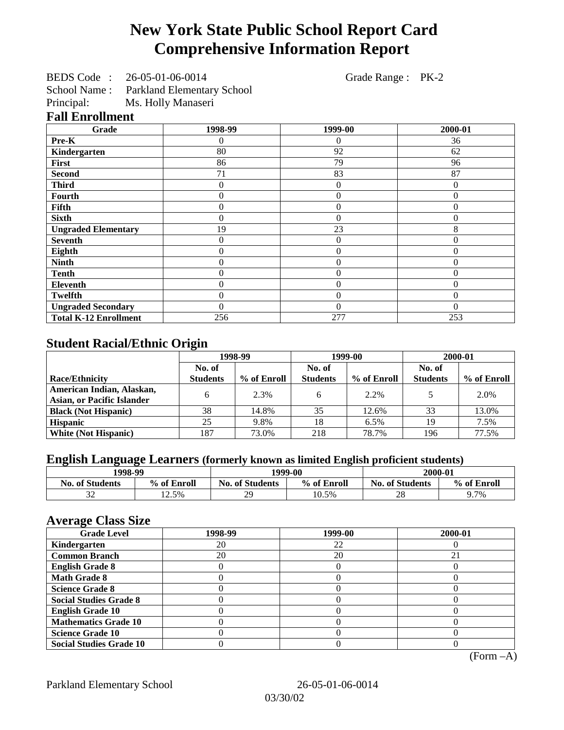# **New York State Public School Report Card Comprehensive Information Report**

|     | BEDS Code: 26-05-01-06-0014 | Grade Range : PK-2 |  |
|-----|-----------------------------|--------------------|--|
| --- |                             |                    |  |

School Name : Parkland Elementary School

Principal: Ms. Holly Manaseri

## **Fall Enrollment**

| Grade                        | 1998-99      | 1999-00        | 2000-01  |
|------------------------------|--------------|----------------|----------|
| Pre-K                        | 0            | 0              | 36       |
| Kindergarten                 | 80           | 92             | 62       |
| First                        | 86           | 79             | 96       |
| <b>Second</b>                | 71           | 83             | 87       |
| <b>Third</b>                 | 0            | $\theta$       | 0        |
| Fourth                       | 0            | $\theta$       | 0        |
| Fifth                        | 0            | $\overline{0}$ | $\Omega$ |
| <b>Sixth</b>                 | 0            | $\theta$       | $\Omega$ |
| <b>Ungraded Elementary</b>   | 19           | 23             | 8        |
| <b>Seventh</b>               | $\mathbf{0}$ | $\theta$       | $\Omega$ |
| Eighth                       | $\mathbf{0}$ | $\theta$       | $\Omega$ |
| <b>Ninth</b>                 | $\theta$     | $\theta$       | $\Omega$ |
| <b>Tenth</b>                 | $\theta$     | $\overline{0}$ | $\Omega$ |
| <b>Eleventh</b>              | $\theta$     | $\overline{0}$ | $\Omega$ |
| Twelfth                      | $\theta$     | $\overline{0}$ | $\Omega$ |
| <b>Ungraded Secondary</b>    | $\Omega$     | $\theta$       | $\Omega$ |
| <b>Total K-12 Enrollment</b> | 256          | 277            | 253      |

## **Student Racial/Ethnic Origin**

|                                   | 1998-99         |             | 1999-00         |             | 2000-01         |             |
|-----------------------------------|-----------------|-------------|-----------------|-------------|-----------------|-------------|
|                                   | No. of          |             | No. of          |             | No. of          |             |
| <b>Race/Ethnicity</b>             | <b>Students</b> | % of Enroll | <b>Students</b> | % of Enroll | <b>Students</b> | % of Enroll |
| American Indian, Alaskan,         | 6               | 2.3%        |                 | 2.2%        |                 | 2.0%        |
| <b>Asian, or Pacific Islander</b> |                 |             |                 |             |                 |             |
| <b>Black (Not Hispanic)</b>       | 38              | 14.8%       | 35              | 12.6%       | 33              | 13.0%       |
| <b>Hispanic</b>                   | 25              | 9.8%        | 18              | 6.5%        | 19              | 7.5%        |
| <b>White (Not Hispanic)</b>       | 187             | 73.0%       | 218             | 78.7%       | 196             | 77.5%       |

# **English Language Learners (formerly known as limited English proficient students)**

| 1998-99                |             |                        | 1999-00     |                        | 2000-01     |  |
|------------------------|-------------|------------------------|-------------|------------------------|-------------|--|
| <b>No. of Students</b> | % of Enroll | <b>No. of Students</b> | % of Enroll | <b>No. of Students</b> | % of Enroll |  |
| $\sim$                 | 12.5%       | 29                     | 10.5%       | $\cap$ C<br>ZΟ         | 9.7%        |  |

#### **Average Class Size**

| $-7$<br><b>Grade Level</b>     | 1998-99 | 1999-00 | 2000-01 |
|--------------------------------|---------|---------|---------|
| Kindergarten                   | 20      | 22      |         |
| <b>Common Branch</b>           | 20      | 20      |         |
| <b>English Grade 8</b>         |         |         |         |
| <b>Math Grade 8</b>            |         |         |         |
| <b>Science Grade 8</b>         |         |         |         |
| <b>Social Studies Grade 8</b>  |         |         |         |
| <b>English Grade 10</b>        |         |         |         |
| <b>Mathematics Grade 10</b>    |         |         |         |
| <b>Science Grade 10</b>        |         |         |         |
| <b>Social Studies Grade 10</b> |         |         |         |

(Form –A)